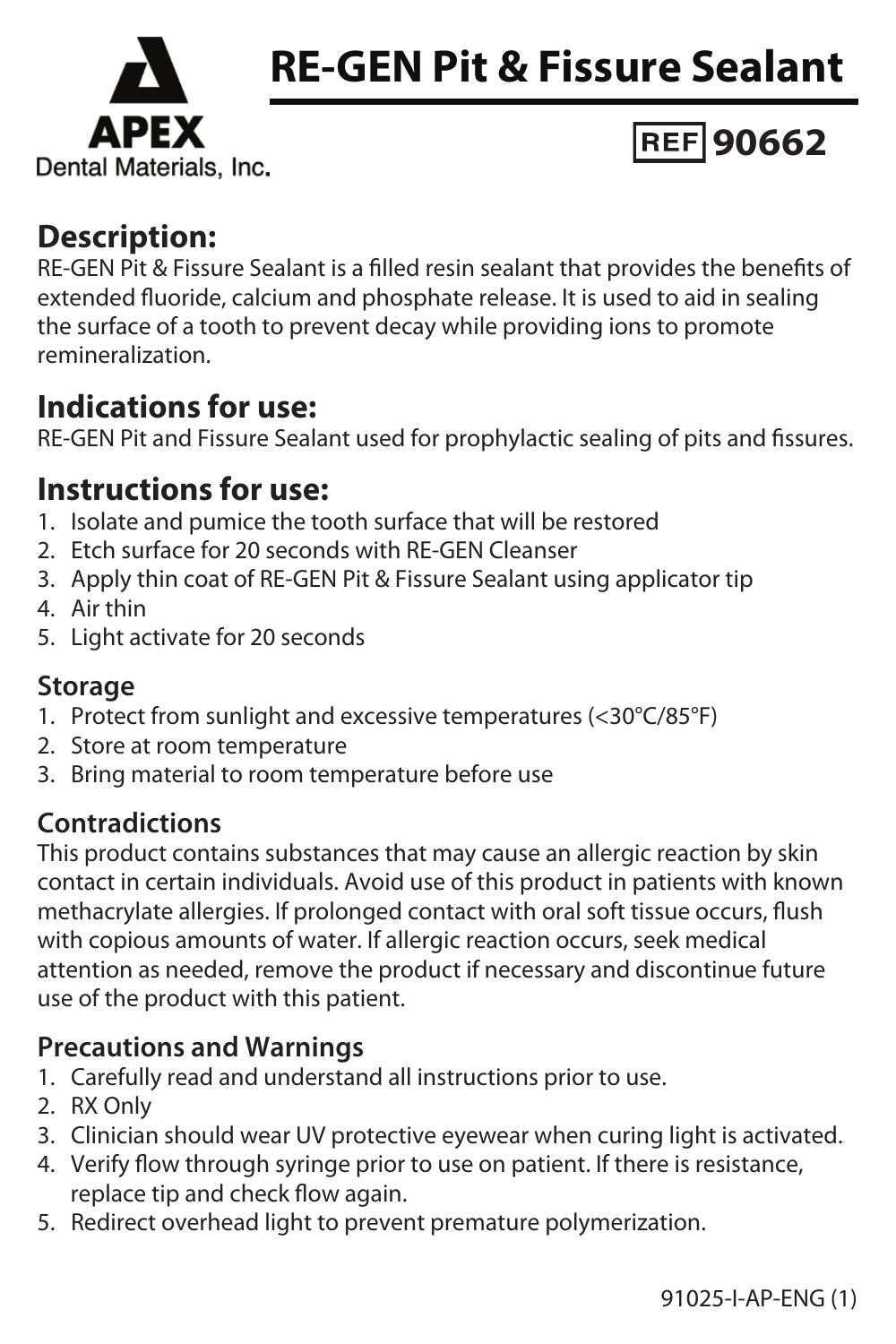



# **90662**

### **Description:**

RE-GEN Pit & Fissure Sealant is a filled resin sealant that provides the benefits of extended fluoride, calcium and phosphate release. It is used to aid in sealing the surface of a tooth to prevent decay while providing ions to promote remineralization.

# **Indications for use:**

RE-GEN Pit and Fissure Sealant used for prophylactic sealing of pits and fissures.

## **Instructions for use:**

- 1. Isolate and pumice the tooth surface that will be restored
- 2. Etch surface for 20 seconds with RE-GEN Cleanser
- 3. Apply thin coat of RE-GEN Pit & Fissure Sealant using applicator tip
- 4. Air thin
- 5. Light activate for 20 seconds

#### **Storage**

- 1. Protect from sunlight and excessive temperatures (<30°C/85°F)
- 2. Store at room temperature
- 3. Bring material to room temperature before use

### **Contradictions**

This product contains substances that may cause an allergic reaction by skin contact in certain individuals. Avoid use of this product in patients with known methacrylate allergies. If prolonged contact with oral soft tissue occurs, flush with copious amounts of water. If allergic reaction occurs, seek medical attention as needed, remove the product if necessary and discontinue future use of the product with this patient.

### **Precautions and Warnings**

- 1. Carefully read and understand all instructions prior to use.
- 2. RX Only
- 3. Clinician should wear UV protective eyewear when curing light is activated.
- 4. Verify flow through syringe prior to use on patient. If there is resistance, replace tip and check flow again.
- 5. Redirect overhead light to prevent premature polymerization.